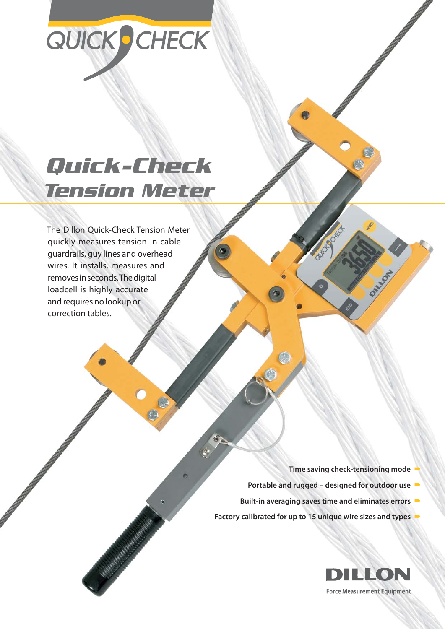# QUICK CHECK

## *Quick-Check Tension Meter*

The Dillon Quick-Check Tension Meter quickly measures tension in cable guardrails, guy lines and overhead wires. It installs, measures and removes in seconds. The digital loadcell is highly accurate and requires no lookup or correction tables.

Antonio III al II-lea

- **Time saving check-tensioning mode**
- **Portable and rugged designed for outdoor use**
- **Built-in averaging saves time and eliminates errors**
- **Factory calibrated for up to 15 unique wire sizes and types**

G

G